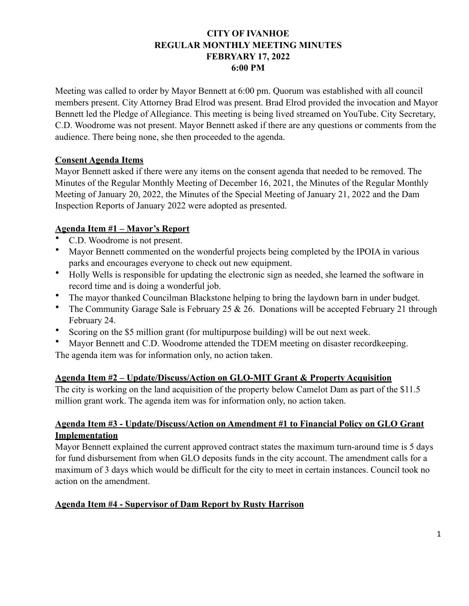# **CITY OF IVANHOE REGULAR MONTHLY MEETING MINUTES FEBRYARY 17, 2022 6:00 PM**

Meeting was called to order by Mayor Bennett at 6:00 pm. Quorum was established with all council members present. City Attorney Brad Elrod was present. Brad Elrod provided the invocation and Mayor Bennett led the Pledge of Allegiance. This meeting is being lived streamed on YouTube. City Secretary, C.D. Woodrome was not present. Mayor Bennett asked if there are any questions or comments from the audience. There being none, she then proceeded to the agenda.

## **Consent Agenda Items**

Mayor Bennett asked if there were any items on the consent agenda that needed to be removed. The Minutes of the Regular Monthly Meeting of December 16, 2021, the Minutes of the Regular Monthly Meeting of January 20, 2022, the Minutes of the Special Meeting of January 21, 2022 and the Dam Inspection Reports of January 2022 were adopted as presented.

# **Agenda Item #1 – Mayor's Report**

- C.D. Woodrome is not present.
- Mayor Bennett commented on the wonderful projects being completed by the IPOIA in various parks and encourages everyone to check out new equipment.
- Holly Wells is responsible for updating the electronic sign as needed, she learned the software in record time and is doing a wonderful job.
- The mayor thanked Councilman Blackstone helping to bring the laydown barn in under budget.
- The Community Garage Sale is February 25  $\&$  26. Donations will be accepted February 21 through February 24.
- Scoring on the \$5 million grant (for multipurpose building) will be out next week.
- Mayor Bennett and C.D. Woodrome attended the TDEM meeting on disaster recordkeeping.

The agenda item was for information only, no action taken.

### **Agenda Item #2 – Update/Discuss/Action on GLO-MIT Grant & Property Acquisition**

The city is working on the land acquisition of the property below Camelot Dam as part of the \$11.5 million grant work. The agenda item was for information only, no action taken.

## **Agenda Item #3 - Update/Discuss/Action on Amendment #1 to Financial Policy on GLO Grant Implementation**

Mayor Bennett explained the current approved contract states the maximum turn-around time is 5 days for fund disbursement from when GLO deposits funds in the city account. The amendment calls for a maximum of 3 days which would be difficult for the city to meet in certain instances. Council took no action on the amendment.

# **Agenda Item #4 - Supervisor of Dam Report by Rusty Harrison**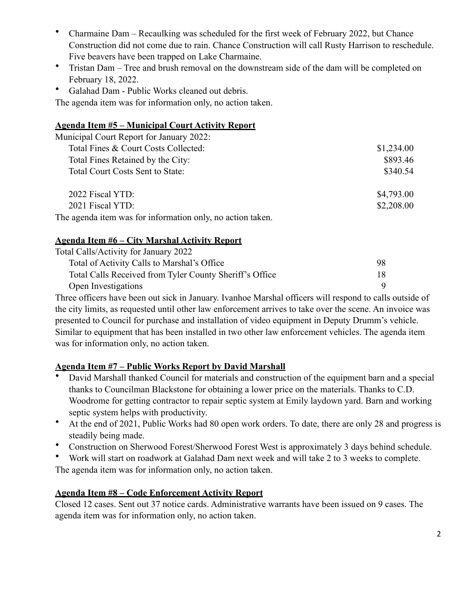- Charmaine Dam Recaulking was scheduled for the first week of February 2022, but Chance Construction did not come due to rain. Chance Construction will call Rusty Harrison to reschedule. Five beavers have been trapped on Lake Charmaine.
- Tristan Dam Tree and brush removal on the downstream side of the dam will be completed on February 18, 2022.
- Galahad Dam Public Works cleaned out debris.

The agenda item was for information only, no action taken.

## **Agenda Item #5 – Municipal Court Activity Report**

| Municipal Court Report for January 2022:                   |            |
|------------------------------------------------------------|------------|
| Total Fines & Court Costs Collected:                       | \$1,234.00 |
| Total Fines Retained by the City:                          | \$893.46   |
| Total Court Costs Sent to State:                           | \$340.54   |
| 2022 Fiscal YTD:                                           | \$4,793.00 |
| 2021 Fiscal YTD:                                           | \$2,208.00 |
| The agenda item was for information only, no action taken. |            |

# **Agenda Item #6 – City Marshal Activity Report**

| Total Calls/Activity for January 2022                   |     |
|---------------------------------------------------------|-----|
| Total of Activity Calls to Marshal's Office             | 98  |
| Total Calls Received from Tyler County Sheriff's Office | 18. |
| Open Investigations                                     |     |

Three officers have been out sick in January. Ivanhoe Marshal officers will respond to calls outside of the city limits, as requested until other law enforcement arrives to take over the scene. An invoice was presented to Council for purchase and installation of video equipment in Deputy Drumm's vehicle. Similar to equipment that has been installed in two other law enforcement vehicles. The agenda item was for information only, no action taken.

# **Agenda Item #7 – Public Works Report by David Marshall**

- David Marshall thanked Council for materials and construction of the equipment barn and a special thanks to Councilman Blackstone for obtaining a lower price on the materials. Thanks to C.D. Woodrome for getting contractor to repair septic system at Emily laydown yard. Barn and working septic system helps with productivity.
- At the end of 2021, Public Works had 80 open work orders. To date, there are only 28 and progress is steadily being made.
- Construction on Sherwood Forest/Sherwood Forest West is approximately 3 days behind schedule.
- Work will start on roadwork at Galahad Dam next week and will take 2 to 3 weeks to complete. The agenda item was for information only, no action taken.

# **Agenda Item #8 – Code Enforcement Activity Report**

Closed 12 cases. Sent out 37 notice cards. Administrative warrants have been issued on 9 cases. The agenda item was for information only, no action taken.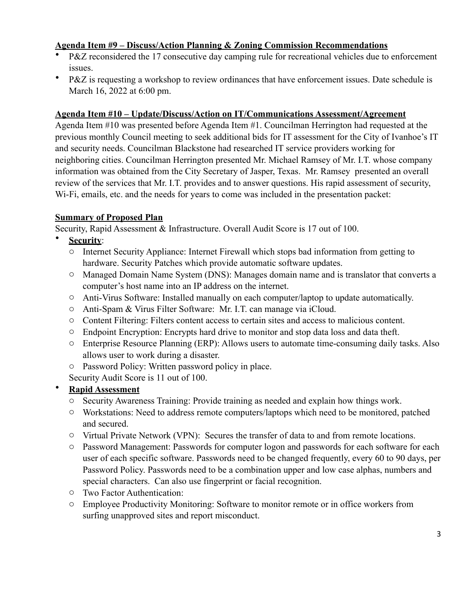## **Agenda Item #9 – Discuss/Action Planning & Zoning Commission Recommendations**

- P&Z reconsidered the 17 consecutive day camping rule for recreational vehicles due to enforcement issues.
- P&Z is requesting a workshop to review ordinances that have enforcement issues. Date schedule is March 16, 2022 at 6:00 pm.

#### **Agenda Item #10 – Update/Discuss/Action on IT/Communications Assessment/Agreement**

Agenda Item #10 was presented before Agenda Item #1. Councilman Herrington had requested at the previous monthly Council meeting to seek additional bids for IT assessment for the City of Ivanhoe's IT and security needs. Councilman Blackstone had researched IT service providers working for neighboring cities. Councilman Herrington presented Mr. Michael Ramsey of Mr. I.T. whose company information was obtained from the City Secretary of Jasper, Texas. Mr. Ramsey presented an overall review of the services that Mr. I.T. provides and to answer questions. His rapid assessment of security, Wi-Fi, emails, etc. and the needs for years to come was included in the presentation packet:

### **Summary of Proposed Plan**

Security, Rapid Assessment & Infrastructure. Overall Audit Score is 17 out of 100.

- **Security**:
	- o Internet Security Appliance: Internet Firewall which stops bad information from getting to hardware. Security Patches which provide automatic software updates.
	- o Managed Domain Name System (DNS): Manages domain name and is translator that converts a computer's host name into an IP address on the internet.
	- o Anti-Virus Software: Installed manually on each computer/laptop to update automatically.
	- o Anti-Spam & Virus Filter Software: Mr. I.T. can manage via iCloud.
	- o Content Filtering: Filters content access to certain sites and access to malicious content.
	- o Endpoint Encryption: Encrypts hard drive to monitor and stop data loss and data theft.
	- o Enterprise Resource Planning (ERP): Allows users to automate time-consuming daily tasks. Also allows user to work during a disaster.
	- o Password Policy: Written password policy in place.
	- Security Audit Score is 11 out of 100.

# • **Rapid Assessment**

- o Security Awareness Training: Provide training as needed and explain how things work.
- o Workstations: Need to address remote computers/laptops which need to be monitored, patched and secured.
- o Virtual Private Network (VPN): Secures the transfer of data to and from remote locations.
- o Password Management: Passwords for computer logon and passwords for each software for each user of each specific software. Passwords need to be changed frequently, every 60 to 90 days, per Password Policy. Passwords need to be a combination upper and low case alphas, numbers and special characters. Can also use fingerprint or facial recognition.
- o Two Factor Authentication:
- o Employee Productivity Monitoring: Software to monitor remote or in office workers from surfing unapproved sites and report misconduct.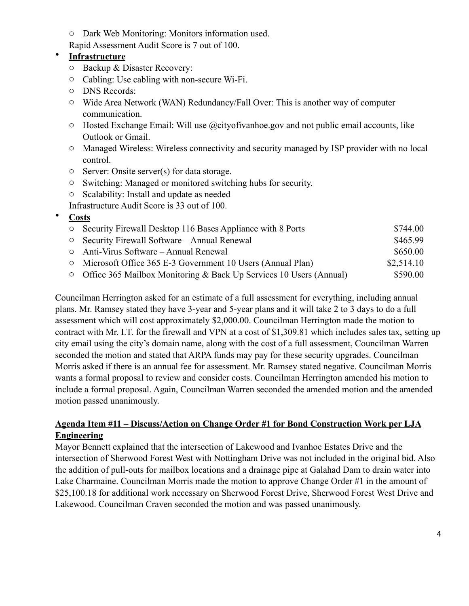o Dark Web Monitoring: Monitors information used.

Rapid Assessment Audit Score is 7 out of 100.

# • **Infrastructure**

- o Backup & Disaster Recovery:
- o Cabling: Use cabling with non-secure Wi-Fi.
- o DNS Records:
- o Wide Area Network (WAN) Redundancy/Fall Over: This is another way of computer communication.
- $\circ$  Hosted Exchange Email: Will use @cityofivanhoe.gov and not public email accounts, like Outlook or Gmail.
- o Managed Wireless: Wireless connectivity and security managed by ISP provider with no local control.
- o Server: Onsite server(s) for data storage.
- o Switching: Managed or monitored switching hubs for security.
- o Scalability: Install and update as needed
- Infrastructure Audit Score is 33 out of 100.

# • **Costs**

| $\circ$ | Security Firewall Desktop 116 Bases Appliance with 8 Ports                 | \$744.00   |
|---------|----------------------------------------------------------------------------|------------|
|         | $\circ$ Security Firewall Software – Annual Renewal                        | \$465.99   |
|         | $\circ$ Anti-Virus Software – Annual Renewal                               | \$650.00   |
|         | $\circ$ Microsoft Office 365 E-3 Government 10 Users (Annual Plan)         | \$2,514.10 |
|         | $\circ$ Office 365 Mailbox Monitoring & Back Up Services 10 Users (Annual) | \$590.00   |

Councilman Herrington asked for an estimate of a full assessment for everything, including annual plans. Mr. Ramsey stated they have 3-year and 5-year plans and it will take 2 to 3 days to do a full assessment which will cost approximately \$2,000.00. Councilman Herrington made the motion to contract with Mr. I.T. for the firewall and VPN at a cost of \$1,309.81 which includes sales tax, setting up city email using the city's domain name, along with the cost of a full assessment, Councilman Warren seconded the motion and stated that ARPA funds may pay for these security upgrades. Councilman Morris asked if there is an annual fee for assessment. Mr. Ramsey stated negative. Councilman Morris wants a formal proposal to review and consider costs. Councilman Herrington amended his motion to include a formal proposal. Again, Councilman Warren seconded the amended motion and the amended motion passed unanimously.

# **Agenda Item #11 – Discuss/Action on Change Order #1 for Bond Construction Work per LJA Engineering**

Mayor Bennett explained that the intersection of Lakewood and Ivanhoe Estates Drive and the intersection of Sherwood Forest West with Nottingham Drive was not included in the original bid. Also the addition of pull-outs for mailbox locations and a drainage pipe at Galahad Dam to drain water into Lake Charmaine. Councilman Morris made the motion to approve Change Order #1 in the amount of \$25,100.18 for additional work necessary on Sherwood Forest Drive, Sherwood Forest West Drive and Lakewood. Councilman Craven seconded the motion and was passed unanimously.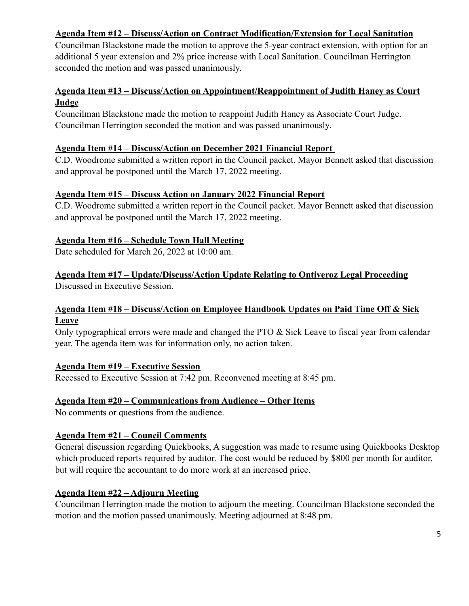# **Agenda Item #12 – Discuss/Action on Contract Modification/Extension for Local Sanitation**

Councilman Blackstone made the motion to approve the 5-year contract extension, with option for an additional 5 year extension and 2% price increase with Local Sanitation. Councilman Herrington seconded the motion and was passed unanimously.

## **Agenda Item #13 – Discuss/Action on Appointment/Reappointment of Judith Haney as Court Judge**

Councilman Blackstone made the motion to reappoint Judith Haney as Associate Court Judge. Councilman Herrington seconded the motion and was passed unanimously.

### **Agenda Item #14 – Discuss/Action on December 2021 Financial Report**

C.D. Woodrome submitted a written report in the Council packet. Mayor Bennett asked that discussion and approval be postponed until the March 17, 2022 meeting.

#### **Agenda Item #15 – Discuss Action on January 2022 Financial Report**

C.D. Woodrome submitted a written report in the Council packet. Mayor Bennett asked that discussion and approval be postponed until the March 17, 2022 meeting.

### **Agenda Item #16 – Schedule Town Hall Meeting**

Date scheduled for March 26, 2022 at 10:00 am.

# **Agenda Item #17 – Update/Discuss/Action Update Relating to Ontiveroz Legal Proceeding**

Discussed in Executive Session.

## **Agenda Item #18 – Discuss/Action on Employee Handbook Updates on Paid Time Off & Sick Leave**

Only typographical errors were made and changed the PTO & Sick Leave to fiscal year from calendar year. The agenda item was for information only, no action taken.

#### **Agenda Item #19 – Executive Session**

Recessed to Executive Session at 7:42 pm. Reconvened meeting at 8:45 pm.

### **Agenda Item #20 – Communications from Audience – Other Items**

No comments or questions from the audience.

### **Agenda Item #21 – Council Comments**

General discussion regarding Quickbooks, A suggestion was made to resume using Quickbooks Desktop which produced reports required by auditor. The cost would be reduced by \$800 per month for auditor, but will require the accountant to do more work at an increased price.

## **Agenda Item #22 – Adjourn Meeting**

Councilman Herrington made the motion to adjourn the meeting. Councilman Blackstone seconded the motion and the motion passed unanimously. Meeting adjourned at 8:48 pm.